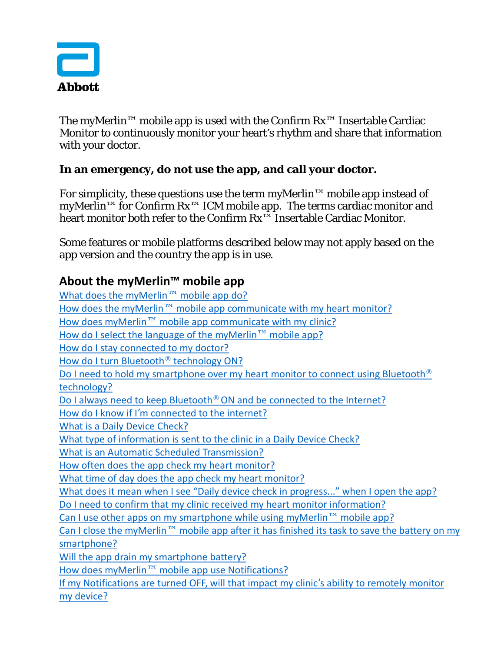

The myMerlin<sup>™</sup> mobile app is used with the Confirm  $Rx^{m}$  Insertable Cardiac Monitor to continuously monitor your heart's rhythm and share that information with your doctor.

## **In an emergency, do not use the app, and call your doctor.**

For simplicity, these questions use the term myMerlin™ mobile app instead of myMerlin<sup>™</sup> for Confirm Rx<sup>™</sup> ICM mobile app. The terms cardiac monitor and heart monitor both refer to the Confirm Rx™ Insertable Cardiac Monitor.

Some features or mobile platforms described below may not apply based on the app version and the country the app is in use.

## **About the myMerlin™ mobile app**

[What does the myMerlin](#page-2-0)™ mobile app do? How does the myMerlin™ [mobile app communicate with my heart monitor?](#page-2-1) How does myMerlin™ [mobile app communicate with my clinic?](#page-2-2) [How do I select the language of the](#page-2-3) myMerlin™ mobile app? [How do I stay connected to my doctor?](#page-2-4) [How do I turn Bluetooth](#page-2-5)® technology ON? [Do I need to hold my smartphone over my heart monitor to connect using Bluetooth](#page-2-6)<sup>®</sup> [technology?](#page-2-6) [Do I always need to keep Bluetooth](#page-3-0)<sup>®</sup> ON and be connected to the Internet? How do I know if I'[m connected to the internet?](#page-3-1) [What is a Daily Device Check?](#page-3-2) [What type of information is sent to the clinic in a Daily Device Check?](#page-3-3) [What is an Automatic Scheduled](#page-3-4) Transmission? [How often does the app check my heart monitor?](#page-3-5) [What time of day does the app check my heart monitor?](#page-4-0) [What does it mean when I see "Daily device check in progress..." when I open the app?](#page-4-1) Do I need to confirm that my clinic received my heart monitor information? [Can I use other apps on my smartphone while using myMerlin](#page-4-2)<sup>TM</sup> mobile app? Can I close the myMerlin™ mobile app after it has finished its task to save the battery on my [smartphone?](#page-3-5)  [Will the app drain my smartphone battery?](#page-4-3) How does myMerlin™ [mobile app use Notifications?](#page-4-4) [If my Notifications are turned OFF, will that impact my clinic](#page-5-0)'s ability to remotely monitor [my device?](#page-5-0)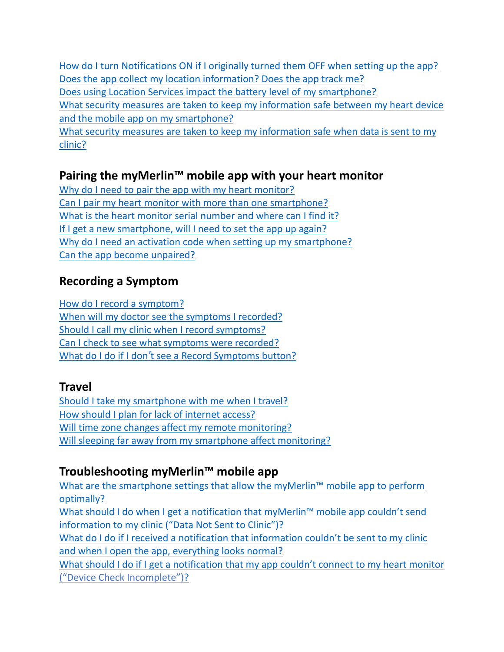[How do I turn Notifications ON if I originally turned them OFF when setting up the app?](#page-4-4) [Does the app collect my location information? Does the app track me?](#page-5-1) [Does using Location Services impact the battery level of my smartphone?](#page-5-2) [What security measures are taken to keep my information safe between my heart device](#page-5-3)  [and the mobile app on my smartphone?](#page-5-3) [What security measures are taken to keep my information safe when data is sent to my](#page-5-4)  [clinic?](#page-5-4)

## **Pairing the myMerlin™ mobile app with your heart monitor**

[Why do I need to pair the app with my heart monitor?](#page-6-0) [Can I pair my heart monitor with more than one smartphone?](#page-6-1) [What is the heart monitor serial number and where can I find it?](#page-6-2) [If I get a new smartphone, will I need to set the app up again?](#page-6-3) [Why do I need an activation code when setting up my smartphone?](#page-6-4) [Can the app become unpaired?](#page-6-5)

## **Recording a Symptom**

[How do I record a symptom?](#page-7-0) [When will my doctor see the symptoms I recorded?](#page-7-1) [Should I call my clinic when I record symptoms?](#page-7-2) [Can I check to see what symptoms were recorded?](#page-7-3) What do I do if I don'[t see a Record Symptoms button?](#page-7-4)

## **Travel**

[Should I take my smartphone with me when I travel?](#page-7-5) How should I plan [for lack of internet access?](#page-8-0) [Will time zone changes affect my remote monitoring?](#page-8-1) [Will sleeping far away from my smartphone affect monitoring?](#page-8-2)

## **Troubleshooting myMerlin™ mobile app**

[What are the smartphone settings that allow the myMerlin™](#page-8-3) mobile app to perform [optimally?](#page-8-3)

[What should I do when I get a notification that myMerlin™](#page-9-0) mobile app couldn't send information to my clinic [\("Data Not Sent to Clinic"\)?](#page-9-0)

What do I do if I received a notification that information couldn't be sent to my clinic [and when I open the app, everything looks normal?](#page-9-1)

What should I do if [I get a notification that my app couldn't connect to my heart monitor](#page-9-2) [\("Device Check Incomplete"\)?](#page-9-2)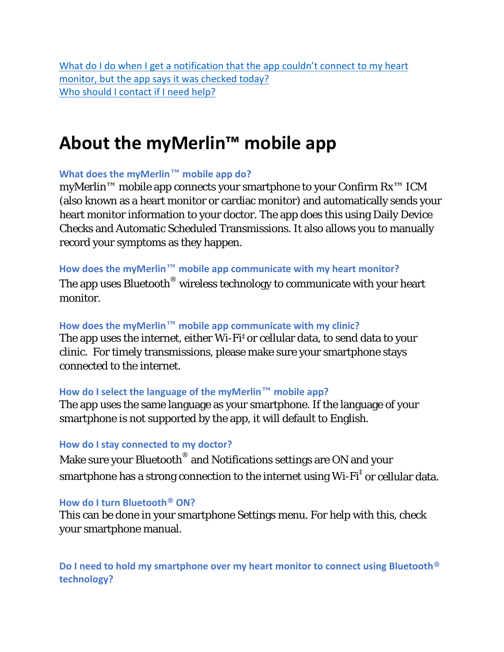What do I do when I get a notification that the app couldn't connect to my heart [monitor, but the app says it was checked today?](#page-9-3) [Who should I contact if I need help?](#page-10-0)

# **About the myMerlin™ mobile app**

### <span id="page-2-0"></span>**What does the myMerlin™ mobile app do?**

myMerlin™ mobile app connects your smartphone to your Confirm Rx™ ICM (also known as a heart monitor or cardiac monitor) and automatically sends your heart monitor information to your doctor. The app does this using Daily Device Checks and Automatic Scheduled Transmissions. It also allows you to manually record your symptoms as they happen.

#### <span id="page-2-1"></span>**How does the myMerlin™ mobile app communicate with my heart monitor?**

The app uses Bluetooth<sup>®</sup> wireless technology to communicate with your heart monitor.

#### <span id="page-2-2"></span>**How does the myMerlin™ mobile app communicate with my clinic?**

The app uses the internet, either Wi-Fi‡ or cellular data, to send data to your clinic. For timely transmissions, please make sure your smartphone stays connected to the internet.

### <span id="page-2-3"></span>**How do I select the language of the myMerlin™ mobile app?**

The app uses the same language as your smartphone. If the language of your smartphone is not supported by the app, it will default to English.

### <span id="page-2-4"></span>**How do I stay connected to my doctor?**

Make sure your Bluetooth<sup>®</sup> and Notifications settings are ON and your smartphone has a strong connection to the internet using  $Wi-Fi^{\dagger}$  or cellular data.

#### <span id="page-2-5"></span>**How do I turn Bluetooth® ON?**

This can be done in your smartphone Settings menu. For help with this, check your smartphone manual.

<span id="page-2-6"></span>**Do I need to hold my smartphone over my heart monitor to connect using Bluetooth® technology?**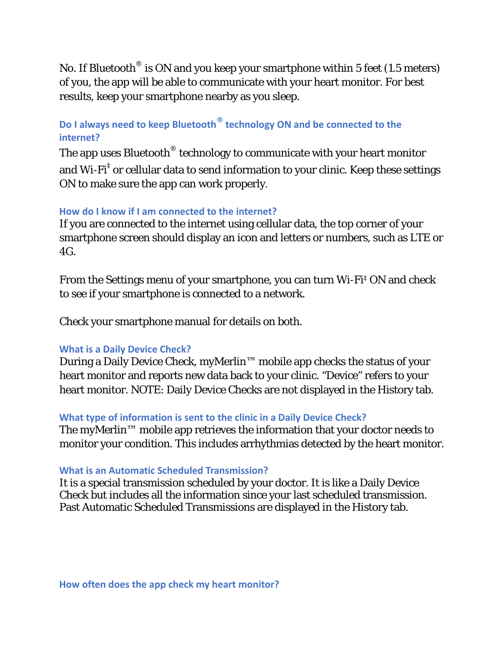No. If Bluetooth<sup>®</sup> is ON and you keep your smartphone within 5 feet (1.5 meters) of you, the app will be able to communicate with your heart monitor. For best results, keep your smartphone nearby as you sleep.

## <span id="page-3-0"></span>**Do I always need to keep Bluetooth® technology ON and be connected to the internet?**

The app uses Bluetooth<sup>®</sup> technology to communicate with your heart monitor and Wi-Fi<sup> $\ddagger$ </sup> or cellular data to send information to your clinic. Keep these settings ON to make sure the app can work properly.

#### <span id="page-3-1"></span>**How do I know if I am connected to the internet?**

If you are connected to the internet using cellular data, the top corner of your smartphone screen should display an icon and letters or numbers, such as LTE or  $4G$ 

From the Settings menu of your smartphone, you can turn Wi-Fi‡ ON and check to see if your smartphone is connected to a network.

Check your smartphone manual for details on both.

#### <span id="page-3-2"></span>**What is a Daily Device Check?**

During a Daily Device Check, myMerlin™ mobile app checks the status of your heart monitor and reports new data back to your clinic. "Device" refers to your heart monitor. NOTE: Daily Device Checks are not displayed in the History tab.

#### <span id="page-3-3"></span>**What type of information is sent to the clinic in a Daily Device Check?**

The myMerlin™ mobile app retrieves the information that your doctor needs to monitor your condition. This includes arrhythmias detected by the heart monitor.

#### <span id="page-3-4"></span>**What is an Automatic Scheduled Transmission?**

<span id="page-3-5"></span>It is a special transmission scheduled by your doctor. It is like a Daily Device Check but includes all the information since your last scheduled transmission. Past Automatic Scheduled Transmissions are displayed in the History tab.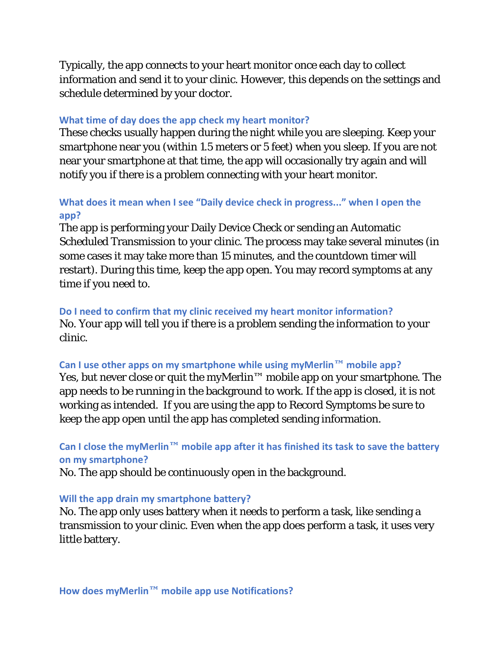Typically, the app connects to your heart monitor once each day to collect information and send it to your clinic. However, this depends on the settings and schedule determined by your doctor.

#### <span id="page-4-0"></span>**What time of day does the app check my heart monitor?**

These checks usually happen during the night while you are sleeping. Keep your smartphone near you (within 1.5 meters or 5 feet) when you sleep. If you are not near your smartphone at that time, the app will occasionally try again and will notify you if there is a problem connecting with your heart monitor.

### <span id="page-4-1"></span>**What does it mean when I see "Daily device check in progress..." when I open the app?**

The app is performing your Daily Device Check or sending an Automatic Scheduled Transmission to your clinic. The process may take several minutes (in some cases it may take more than 15 minutes, and the countdown timer will restart). During this time, keep the app open. You may record symptoms at any time if you need to.

**Do I need to confirm that my clinic received my heart monitor information?**  No. Your app will tell you if there is a problem sending the information to your clinic.

#### <span id="page-4-2"></span>**Can I use other apps on my smartphone while using myMerlin™ mobile app?**

Yes, but never close or quit the myMerlin™ mobile app on your smartphone. The app needs to be running in the background to work. If the app is closed, it is not working as intended. If you are using the app to Record Symptoms be sure to keep the app open until the app has completed sending information.

**Can I close the myMerlin™ mobile app after it has finished its task to save the battery on my smartphone?** 

No. The app should be continuously open in the background.

#### <span id="page-4-3"></span>**Will the app drain my smartphone battery?**

<span id="page-4-4"></span>No. The app only uses battery when it needs to perform a task, like sending a transmission to your clinic. Even when the app does perform a task, it uses very little battery.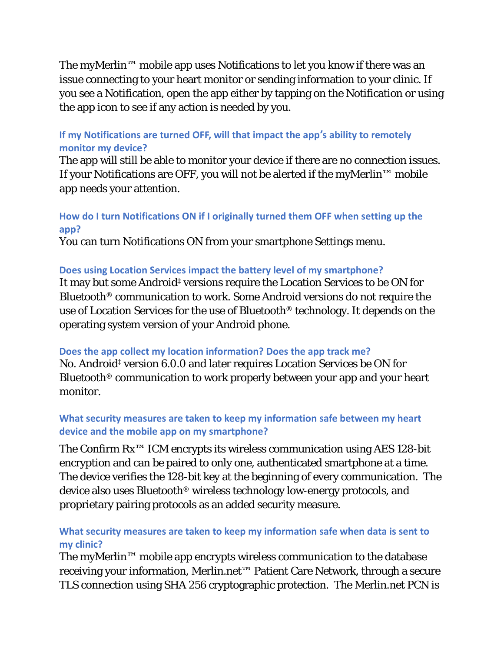The myMerlin™ mobile app uses Notifications to let you know if there was an issue connecting to your heart monitor or sending information to your clinic. If you see a Notification, open the app either by tapping on the Notification or using the app icon to see if any action is needed by you.

## <span id="page-5-0"></span>**If my Notifications are turned OFF, will that impact the app's ability to remotely monitor my device?**

The app will still be able to monitor your device if there are no connection issues. If your Notifications are OFF, you will not be alerted if the myMerlin™ mobile app needs your attention.

## **How do I turn Notifications ON if I originally turned them OFF when setting up the app?**

You can turn Notifications ON from your smartphone Settings menu.

## <span id="page-5-2"></span>**Does using Location Services impact the battery level of my smartphone?**

It may but some Android‡ versions require the Location Services to be ON for Bluetooth® communication to work. Some Android versions do not require the use of Location Services for the use of Bluetooth® technology. It depends on the operating system version of your Android phone.

## <span id="page-5-1"></span>**Does the app collect my location information? Does the app track me?**

No. Android‡ version 6.0.0 and later requires Location Services be ON for Bluetooth® communication to work properly between your app and your heart monitor.

## <span id="page-5-3"></span>**What security measures are taken to keep my information safe between my heart device and the mobile app on my smartphone?**

The Confirm Rx™ ICM encrypts its wireless communication using AES 128-bit encryption and can be paired to only one, authenticated smartphone at a time. The device verifies the 128-bit key at the beginning of every communication. The device also uses Bluetooth® wireless technology low-energy protocols, and proprietary pairing protocols as an added security measure.

## <span id="page-5-4"></span>**What security measures are taken to keep my information safe when data is sent to my clinic?**

The myMerlin™ mobile app encrypts wireless communication to the database receiving your information, Merlin.net™ Patient Care Network, through a secure TLS connection using SHA 256 cryptographic protection. The Merlin.net PCN is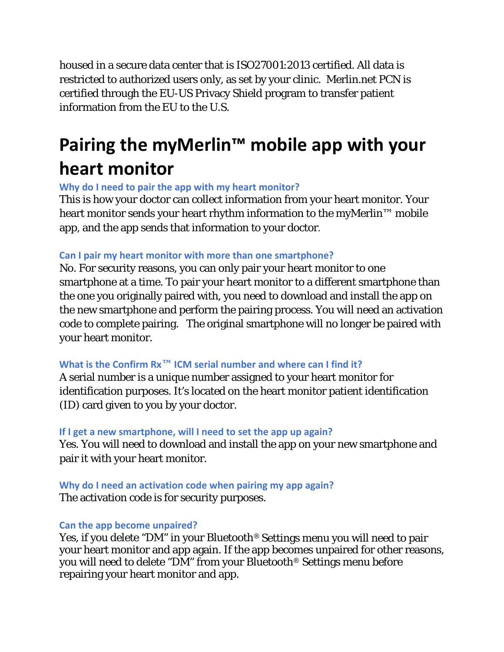housed in a secure data center that is ISO27001:2013 certified. All data is restricted to authorized users only, as set by your clinic. Merlin.net PCN is certified through the EU-US Privacy Shield program to transfer patient information from the EU to the U.S.

# **Pairing the myMerlin™ mobile app with your heart monitor**

<span id="page-6-0"></span>**Why do I need to pair the app with my heart monitor?** 

This is how your doctor can collect information from your heart monitor. Your heart monitor sends your heart rhythm information to the myMerlin™ mobile app, and the app sends that information to your doctor.

## <span id="page-6-1"></span>**Can I pair my heart monitor with more than one smartphone?**

No. For security reasons, you can only pair your heart monitor to one smartphone at a time. To pair your heart monitor to a different smartphone than the one you originally paired with, you need to download and install the app on the new smartphone and perform the pairing process. You will need an activation code to complete pairing. The original smartphone will no longer be paired with your heart monitor.

## <span id="page-6-2"></span>**What is the Confirm Rx™ ICM serial number and where can I find it?**

A serial number is a unique number assigned to your heart monitor for identification purposes. It's located on the heart monitor patient identification (ID) card given to you by your doctor.

### <span id="page-6-3"></span>**If I get a new smartphone, will I need to set the app up again?**

Yes. You will need to download and install the app on your new smartphone and pair it with your heart monitor.

<span id="page-6-4"></span>**Why do I need an activation code when pairing my app again?**  The activation code is for security purposes.

### <span id="page-6-5"></span>**Can the app become unpaired?**

Yes, if you delete "DM" in your Bluetooth® Settings menu you will need to pair your heart monitor and app again. If the app becomes unpaired for other reasons, you will need to delete "DM" from your Bluetooth® Settings menu before repairing your heart monitor and app.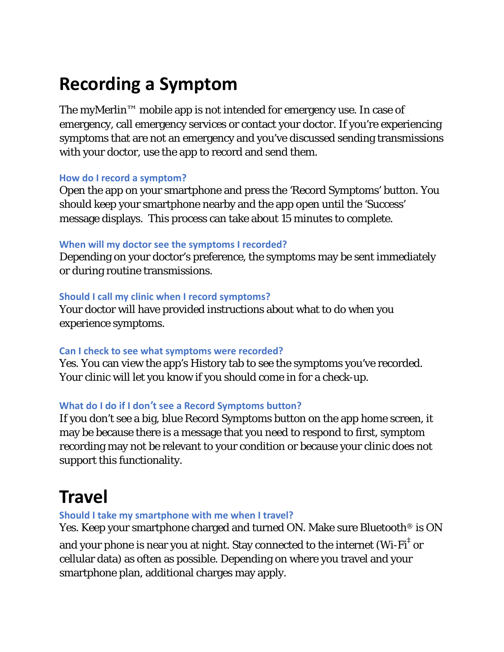# **Recording a Symptom**

The myMerlin™ mobile app is not intended for emergency use. In case of emergency, call emergency services or contact your doctor. If you're experiencing symptoms that are not an emergency and you've discussed sending transmissions with your doctor, use the app to record and send them.

#### <span id="page-7-0"></span>**How do I record a symptom?**

Open the app on your smartphone and press the 'Record Symptoms' button. You should keep your smartphone nearby and the app open until the 'Success' message displays. This process can take about 15 minutes to complete.

#### <span id="page-7-1"></span>**When will my doctor see the symptoms I recorded?**

Depending on your doctor's preference, the symptoms may be sent immediately or during routine transmissions.

#### <span id="page-7-2"></span>**Should I call my clinic when I record symptoms?**

Your doctor will have provided instructions about what to do when you experience symptoms.

#### <span id="page-7-3"></span>**Can I check to see what symptoms were recorded?**

Yes. You can view the app's History tab to see the symptoms you've recorded. Your clinic will let you know if you should come in for a check-up.

#### <span id="page-7-4"></span>**What do I do if I don't see a Record Symptoms button?**

If you don't see a big, blue Record Symptoms button on the app home screen, it may be because there is a message that you need to respond to first, symptom recording may not be relevant to your condition or because your clinic does not support this functionality.

## **Travel**

#### <span id="page-7-5"></span>**Should I take my smartphone with me when I travel?**

Yes. Keep your smartphone charged and turned ON. Make sure Bluetooth<sup>®</sup> is ON and your phone is near you at night. Stay connected to the internet (Wi-Fi $^\ddag$  or

cellular data) as often as possible. Depending on where you travel and your smartphone plan, additional charges may apply.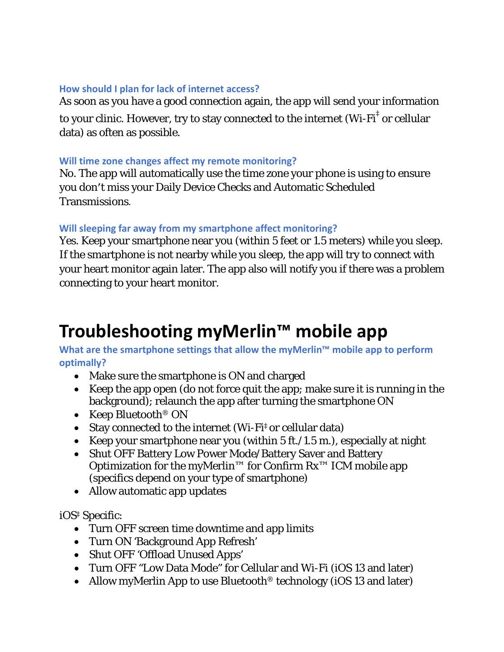#### <span id="page-8-0"></span>**How should I plan for lack of internet access?**

As soon as you have a good connection again, the app will send your information to your clinic. However, try to stay connected to the internet (Wi-Fi $^\ddag$  or cellular data) as often as possible.

#### <span id="page-8-1"></span>**Will time zone changes affect my remote monitoring?**

No. The app will automatically use the time zone your phone is using to ensure you don′t miss your Daily Device Checks and Automatic Scheduled Transmissions.

#### <span id="page-8-2"></span>**Will sleeping far away from my smartphone affect monitoring?**

Yes. Keep your smartphone near you (within 5 feet or 1.5 meters) while you sleep. If the smartphone is not nearby while you sleep, the app will try to connect with your heart monitor again later. The app also will notify you if there was a problem connecting to your heart monitor.

# **Troubleshooting myMerlin™ mobile app**

<span id="page-8-3"></span>**What are the smartphone settings that allow the myMerlin™ mobile app to perform optimally?**

- Make sure the smartphone is ON and charged
- Keep the app open (do not force quit the app; make sure it is running in the background); relaunch the app after turning the smartphone ON
- Keep Bluetooth<sup>®</sup> ON
- Stay connected to the internet (Wi-Fi<sup>‡</sup> or cellular data)
- Keep your smartphone near you (within 5 ft./1.5 m.), especially at night
- Shut OFF Battery Low Power Mode/Battery Saver and Battery Optimization for the myMerlin<sup>™</sup> for Confirm  $Rx^{m}$  ICM mobile app (specifics depend on your type of smartphone)
- Allow automatic app updates

iOS‡ Specific:

- Turn OFF screen time downtime and app limits
- Turn ON 'Background App Refresh'
- Shut OFF 'Offload Unused Apps'
- Turn OFF "Low Data Mode" for Cellular and Wi-Fi (iOS 13 and later)
- Allow myMerlin App to use Bluetooth<sup>®</sup> technology (iOS 13 and later)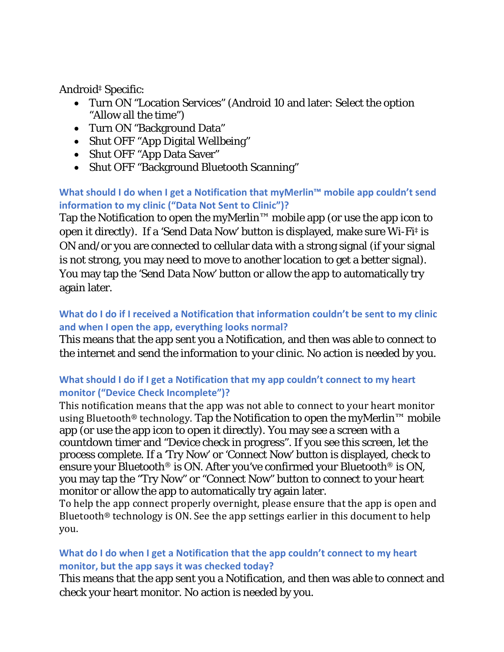Android‡ Specific:

- Turn ON "Location Services" (Android 10 and later: Select the option "Allow all the time")
- Turn ON "Background Data"
- Shut OFF "App Digital Wellbeing"
- Shut OFF "App Data Saver"
- Shut OFF "Background Bluetooth Scanning"

## <span id="page-9-0"></span>**What should I do when I get a Notification that myMerlin™ mobile app couldn't send information to my clinic ("Data Not Sent to Clinic")?**

Tap the Notification to open the myMerlin™ mobile app (or use the app icon to open it directly). If a 'Send Data Now' button is displayed, make sure Wi-Fi‡ is ON and/or you are connected to cellular data with a strong signal (if your signal is not strong, you may need to move to another location to get a better signal). You may tap the 'Send Data Now' button or allow the app to automatically try again later.

## <span id="page-9-1"></span>**What do I do if I received a Notification that information couldn't be sent to my clinic and when I open the app, everything looks normal?**

This means that the app sent you a Notification, and then was able to connect to the internet and send the information to your clinic. No action is needed by you.

## <span id="page-9-2"></span>**What should I do if I get a Notification that my app couldn't connect to my heart monitor ("Device Check Incomplete")?**

This notification means that the app was not able to connect to your heart monitor using Bluetooth® technology. Tap the Notification to open the myMerlin™ mobile app (or use the app icon to open it directly). You may see a screen with a countdown timer and "Device check in progress". If you see this screen, let the process complete. If a 'Try Now' or 'Connect Now' button is displayed, check to ensure your Bluetooth® is ON. After you've confirmed your Bluetooth® is ON, you may tap the "Try Now" or "Connect Now" button to connect to your heart monitor or allow the app to automatically try again later.

To help the app connect properly overnight, please ensure that the app is open and Bluetooth® technology is ON. See the app settings earlier in this document to help you.

## <span id="page-9-3"></span>**What do I do when I get a Notification that the app couldn't connect to my heart monitor, but the app says it was checked today?**

This means that the app sent you a Notification, and then was able to connect and check your heart monitor. No action is needed by you.